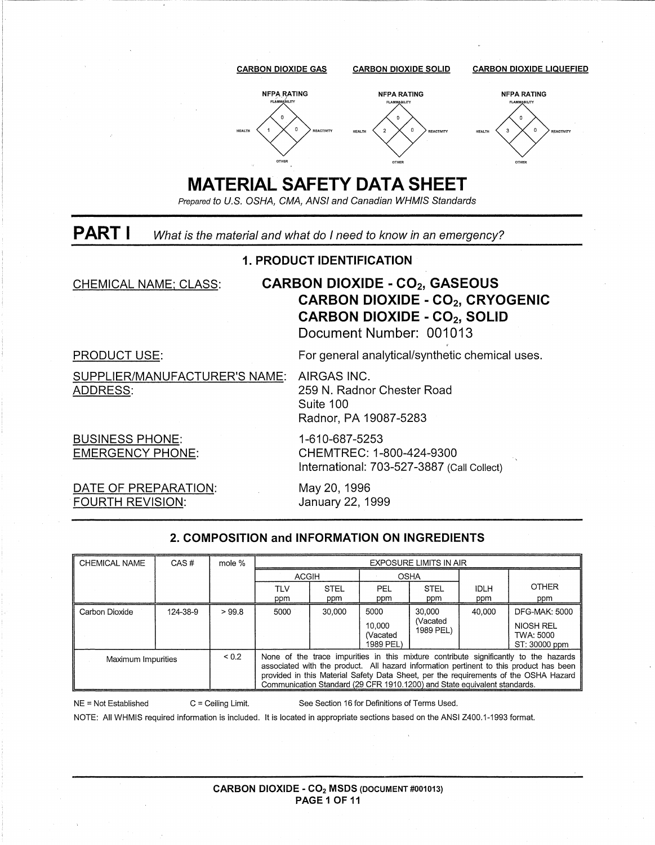

#### 2. COMPOSITION and INFORMATION ON INGREDIENTS

| CHEMICAL NAME                    | CAS#     | mole % | <b>EXPOSURE LIMITS IN AIR</b>                                                                                                                                                                                                                                                                                                                       |             |                                        |                                 |             |                                                          |
|----------------------------------|----------|--------|-----------------------------------------------------------------------------------------------------------------------------------------------------------------------------------------------------------------------------------------------------------------------------------------------------------------------------------------------------|-------------|----------------------------------------|---------------------------------|-------------|----------------------------------------------------------|
|                                  |          |        | <b>ACGIH</b>                                                                                                                                                                                                                                                                                                                                        |             | <b>OSHA</b>                            |                                 |             |                                                          |
|                                  |          |        | TLV                                                                                                                                                                                                                                                                                                                                                 | <b>STEL</b> | <b>PEL</b><br><b>STEL</b>              |                                 | <b>IDLH</b> | <b>OTHER</b>                                             |
|                                  |          |        | ppm                                                                                                                                                                                                                                                                                                                                                 | ppm         | ppm                                    | ppm                             | ppm         | ppm                                                      |
| Carbon Dioxide                   | 124-38-9 | >99.8  | 5000                                                                                                                                                                                                                                                                                                                                                | 30.000      | 5000<br>10.000<br>(Vacated<br>1989 PEL | 30.000<br>(Vacated<br>1989 PEL) | 40.000      | DFG-MAK: 5000<br>NIOSH REL<br>TWA: 5000<br>ST: 30000 ppm |
| ${}_{0.2}$<br>Maximum Impurities |          |        | None of the trace impurities in this mixture contribute significantly to the hazards<br>associated with the product. All hazard information pertinent to this product has been<br>provided in this Material Safety Data Sheet, per the requirements of the OSHA Hazard<br>Communication Standard (29 CFR 1910.1200) and State equivalent standards. |             |                                        |                                 |             |                                                          |

See Section 16 for Definitions of Terms Used. NE = Not Established  $C =$  Ceiling Limit.

NOTE: All WHMIS required information is included. It is located in appropriate sections based on the ANSI Z400.1-1993 format.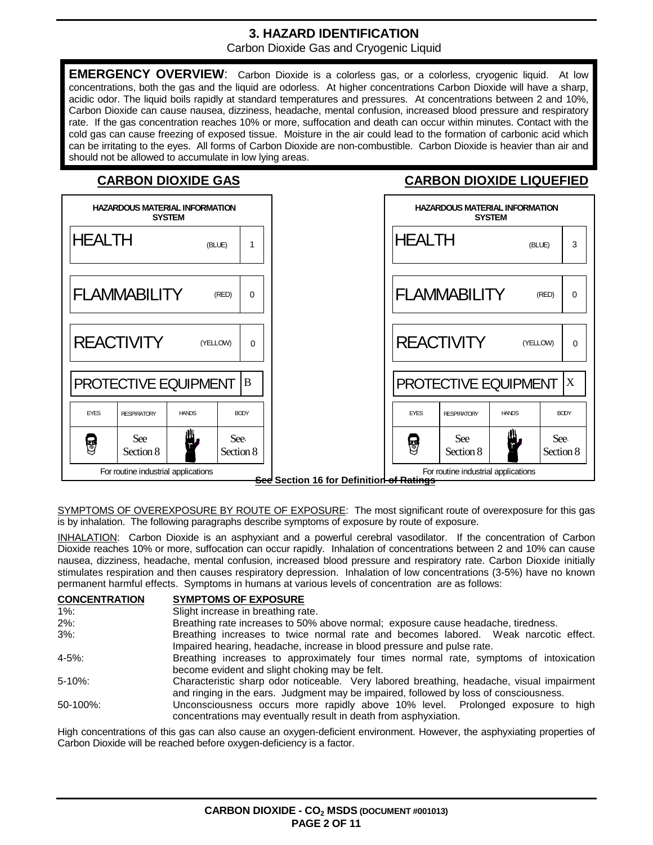## **3. HAZARD IDENTIFICATION**

Carbon Dioxide Gas and Cryogenic Liquid

**EMERGENCY OVERVIEW**: Carbon Dioxide is a colorless gas, or a colorless, cryogenic liquid. At low concentrations, both the gas and the liquid are odorless. At higher concentrations Carbon Dioxide will have a sharp, acidic odor. The liquid boils rapidly at standard temperatures and pressures. At concentrations between 2 and 10%, Carbon Dioxide can cause nausea, dizziness, headache, mental confusion, increased blood pressure and respiratory rate. If the gas concentration reaches 10% or more, suffocation and death can occur within minutes. Contact with the cold gas can cause freezing of exposed tissue. Moisture in the air could lead to the formation of carbonic acid which can be irritating to the eyes. All forms of Carbon Dioxide are non-combustible. Carbon Dioxide is heavier than air and should not be allowed to accumulate in low lying areas.

#### **CARBON DIOXIDE GAS CARBON DIOXIDE LIQUEFIED**

| <b>HAZARDOUS MATERIAL INFORMATION</b><br><b>SYSTEM</b> |                   | <b>HAZARDOUS MATERIAL INFORMATION</b><br><b>SYSTEM</b>                                                  |
|--------------------------------------------------------|-------------------|---------------------------------------------------------------------------------------------------------|
| <b>HEALTH</b><br>(BLUE)                                | 1                 | <b>HEALTH</b><br>(BLUE)                                                                                 |
| <b>FLAMMABILITY</b>                                    | (RED)<br>$\Omega$ | <b>FLAMMABILITY</b><br>(RED)                                                                            |
| <b>REACTIVITY</b><br>(YELLOW)                          | $\Omega$          | <b>REACTIVITY</b><br>(YELLOW)                                                                           |
| PROTECTIVE EQUIPMENT                                   | $\bf{B}$          | PROTECTIVE EQUIPMENT                                                                                    |
| <b>EYES</b><br><b>HANDS</b><br><b>RESPIRATORY</b>      | <b>BODY</b>       | <b>HANDS</b><br><b>BODY</b><br><b>EYES</b><br><b>RESPIRATORY</b>                                        |
| <b>See</b><br>8<br>Section 8                           | See-<br>Section 8 | See<br>See<br><u>a</u><br>Section 8<br>Section 8                                                        |
| For routine industrial applications                    |                   | For routine industrial applications<br><del>See</del> Section 16 for Definitior <del>l of Ratings</del> |

SYMPTOMS OF OVEREXPOSURE BY ROUTE OF EXPOSURE: The most significant route of overexposure for this gas is by inhalation. The following paragraphs describe symptoms of exposure by route of exposure.

INHALATION: Carbon Dioxide is an asphyxiant and a powerful cerebral vasodilator. If the concentration of Carbon Dioxide reaches 10% or more, suffocation can occur rapidly. Inhalation of concentrations between 2 and 10% can cause nausea, dizziness, headache, mental confusion, increased blood pressure and respiratory rate. Carbon Dioxide initially stimulates respiration and then causes respiratory depression. Inhalation of low concentrations (3-5%) have no known permanent harmful effects. Symptoms in humans at various levels of concentration are as follows:

| <b>CONCENTRATION</b> | <b>SYMPTOMS OF EXPOSURE</b>                                                                                                                         |
|----------------------|-----------------------------------------------------------------------------------------------------------------------------------------------------|
| $1\%$ :              | Slight increase in breathing rate.                                                                                                                  |
| $2\%$ :              | Breathing rate increases to 50% above normal; exposure cause headache, tiredness.                                                                   |
| $3\%$ :              | Breathing increases to twice normal rate and becomes labored. Weak narcotic effect.                                                                 |
|                      | Impaired hearing, headache, increase in blood pressure and pulse rate.                                                                              |
| $4 - 5\%$ :          | Breathing increases to approximately four times normal rate, symptoms of intoxication                                                               |
|                      | become evident and slight choking may be felt.                                                                                                      |
| $5 - 10\%$ :         | Characteristic sharp odor noticeable. Very labored breathing, headache, visual impairment                                                           |
|                      | and ringing in the ears. Judgment may be impaired, followed by loss of consciousness.                                                               |
| $50-100\%$ :         | Unconsciousness occurs more rapidly above 10% level. Prolonged exposure to high<br>concentrations may eventually result in death from asphyxiation. |

High concentrations of this gas can also cause an oxygen-deficient environment. However, the asphyxiating properties of Carbon Dioxide will be reached before oxygen-deficiency is a factor.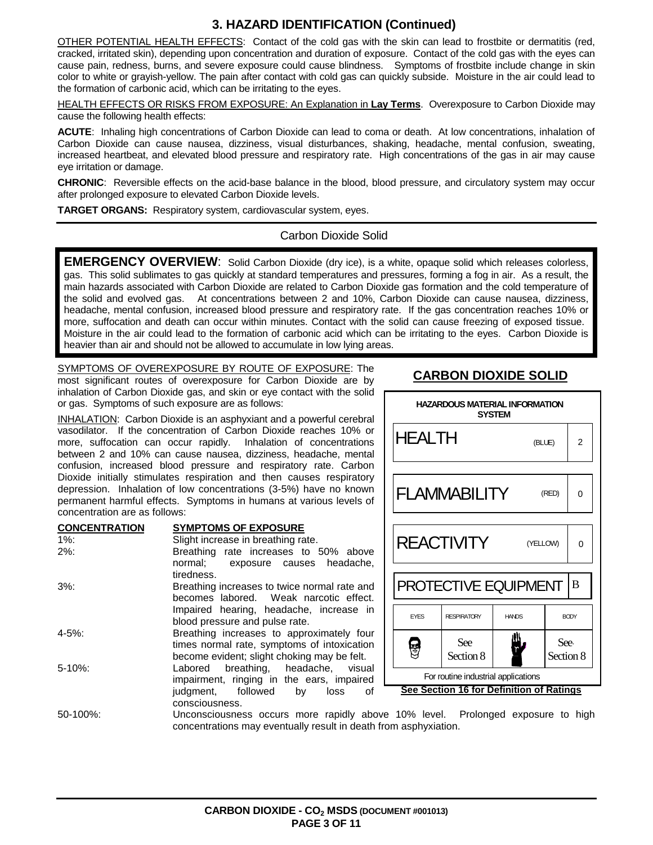### **3. HAZARD IDENTIFICATION (Continued)**

OTHER POTENTIAL HEALTH EFFECTS: Contact of the cold gas with the skin can lead to frostbite or dermatitis (red, cracked, irritated skin), depending upon concentration and duration of exposure. Contact of the cold gas with the eyes can cause pain, redness, burns, and severe exposure could cause blindness. Symptoms of frostbite include change in skin color to white or grayish-yellow. The pain after contact with cold gas can quickly subside. Moisture in the air could lead to the formation of carbonic acid, which can be irritating to the eyes.

HEALTH EFFECTS OR RISKS FROM EXPOSURE: An Explanation in **Lay Terms**. Overexposure to Carbon Dioxide may cause the following health effects:

**ACUTE**: Inhaling high concentrations of Carbon Dioxide can lead to coma or death. At low concentrations, inhalation of Carbon Dioxide can cause nausea, dizziness, visual disturbances, shaking, headache, mental confusion, sweating, increased heartbeat, and elevated blood pressure and respiratory rate. High concentrations of the gas in air may cause eye irritation or damage.

**CHRONIC**: Reversible effects on the acid-base balance in the blood, blood pressure, and circulatory system may occur after prolonged exposure to elevated Carbon Dioxide levels.

**TARGET ORGANS:** Respiratory system, cardiovascular system, eyes.

#### Carbon Dioxide Solid

**EMERGENCY OVERVIEW**: Solid Carbon Dioxide (dry ice), is a white, opaque solid which releases colorless, gas. This solid sublimates to gas quickly at standard temperatures and pressures, forming a fog in air. As a result, the main hazards associated with Carbon Dioxide are related to Carbon Dioxide gas formation and the cold temperature of the solid and evolved gas. At concentrations between 2 and 10%, Carbon Dioxide can cause nausea, dizziness, headache, mental confusion, increased blood pressure and respiratory rate. If the gas concentration reaches 10% or more, suffocation and death can occur within minutes. Contact with the solid can cause freezing of exposed tissue. Moisture in the air could lead to the formation of carbonic acid which can be irritating to the eyes. Carbon Dioxide is heavier than air and should not be allowed to accumulate in low lying areas.

SYMPTOMS OF OVEREXPOSURE BY ROUTE OF EXPOSURE: The most significant routes of overexposure for Carbon Dioxide are by inhalation of Carbon Dioxide gas, and skin or eye contact with the solid or gas. Symptoms of such exposure are as follows:

INHALATION: Carbon Dioxide is an asphyxiant and a powerful cerebral vasodilator. If the concentration of Carbon Dioxide reaches 10% or more, suffocation can occur rapidly. Inhalation of concentrations between 2 and 10% can cause nausea, dizziness, headache, mental confusion, increased blood pressure and respiratory rate. Carbon Dioxide initially stimulates respiration and then causes respiratory depression. Inhalation of low concentrations (3-5%) have no known permanent harmful effects. Symptoms in humans at various levels of concentration are as follows:

#### **CONCENTRATION SYMPTOMS OF EXPOSURE**

| $1\%$ :                                | Slight increase in breathing rate.                             |
|----------------------------------------|----------------------------------------------------------------|
| $2\%$ :                                | Breathing rate increases to 50% above                          |
|                                        | normal; exposure causes headache,                              |
|                                        | tiredness.                                                     |
| $3\%$ :                                | Breathing increases to twice normal rate and                   |
|                                        | becomes labored. Weak narcotic effect.                         |
|                                        | Impaired hearing, headache, increase in                        |
|                                        | blood pressure and pulse rate.                                 |
| 4-5%:                                  | Breathing increases to approximately four                      |
|                                        | times normal rate, symptoms of intoxication                    |
|                                        | become evident; slight choking may be felt.                    |
| $5 - 10\%$ :                           | Labored breathing, headache, visual                            |
|                                        | impairment, ringing in the ears, impaired                      |
|                                        | judgment, followed by<br>loss<br>of                            |
|                                        | consciousness.                                                 |
| $F^{\wedge}$ $A^{\wedge}$ $A^{\wedge}$ | l la concerte de alegra e consegue de caso de la falla de la c |

# **CARBON DIOXIDE SOLID**



50-100%: Unconsciousness occurs more rapidly above 10% level. Prolonged exposure to high concentrations may eventually result in death from asphyxiation.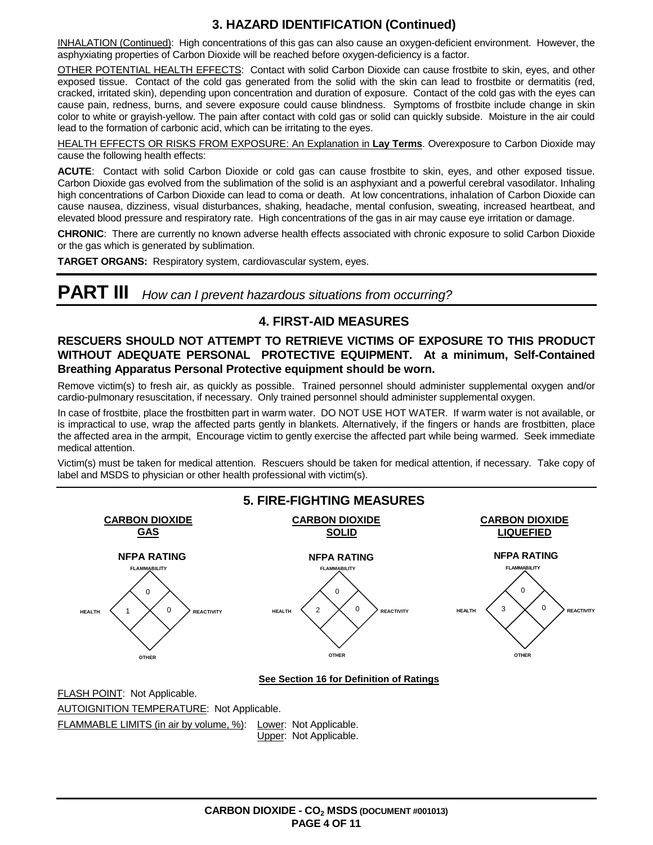### **3. HAZARD IDENTIFICATION (Continued)**

INHALATION (Continued): High concentrations of this gas can also cause an oxygen-deficient environment. However, the asphyxiating properties of Carbon Dioxide will be reached before oxygen-deficiency is a factor.

OTHER POTENTIAL HEALTH EFFECTS: Contact with solid Carbon Dioxide can cause frostbite to skin, eyes, and other exposed tissue. Contact of the cold gas generated from the solid with the skin can lead to frostbite or dermatitis (red, cracked, irritated skin), depending upon concentration and duration of exposure. Contact of the cold gas with the eyes can cause pain, redness, burns, and severe exposure could cause blindness. Symptoms of frostbite include change in skin color to white or grayish-yellow. The pain after contact with cold gas or solid can quickly subside. Moisture in the air could lead to the formation of carbonic acid, which can be irritating to the eyes.

HEALTH EFFECTS OR RISKS FROM EXPOSURE: An Explanation in **Lay Terms**. Overexposure to Carbon Dioxide may cause the following health effects:

**ACUTE**: Contact with solid Carbon Dioxide or cold gas can cause frostbite to skin, eyes, and other exposed tissue. Carbon Dioxide gas evolved from the sublimation of the solid is an asphyxiant and a powerful cerebral vasodilator. Inhaling high concentrations of Carbon Dioxide can lead to coma or death. At low concentrations, inhalation of Carbon Dioxide can cause nausea, dizziness, visual disturbances, shaking, headache, mental confusion, sweating, increased heartbeat, and elevated blood pressure and respiratory rate. High concentrations of the gas in air may cause eye irritation or damage.

**CHRONIC**: There are currently no known adverse health effects associated with chronic exposure to solid Carbon Dioxide or the gas which is generated by sublimation.

**TARGET ORGANS:** Respiratory system, cardiovascular system, eyes.

**PART III** How can I prevent hazardous situations from occurring?

### **4. FIRST-AID MEASURES**

#### **RESCUERS SHOULD NOT ATTEMPT TO RETRIEVE VICTIMS OF EXPOSURE TO THIS PRODUCT WITHOUT ADEQUATE PERSONAL PROTECTIVE EQUIPMENT. At a minimum, Self-Contained Breathing Apparatus Personal Protective equipment should be worn.**

Remove victim(s) to fresh air, as quickly as possible. Trained personnel should administer supplemental oxygen and/or cardio-pulmonary resuscitation, if necessary. Only trained personnel should administer supplemental oxygen.

In case of frostbite, place the frostbitten part in warm water. DO NOT USE HOT WATER. If warm water is not available, or is impractical to use, wrap the affected parts gently in blankets. Alternatively, if the fingers or hands are frostbitten, place the affected area in the armpit, Encourage victim to gently exercise the affected part while being warmed. Seek immediate medical attention.

Victim(s) must be taken for medical attention. Rescuers should be taken for medical attention, if necessary. Take copy of label and MSDS to physician or other health professional with victim(s).

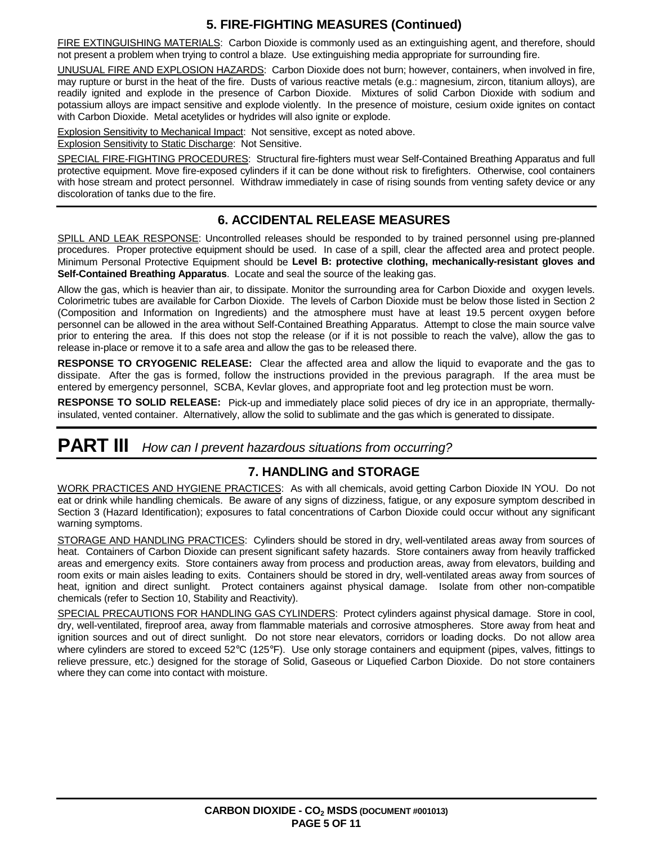### **5. FIRE-FIGHTING MEASURES (Continued)**

FIRE EXTINGUISHING MATERIALS: Carbon Dioxide is commonly used as an extinguishing agent, and therefore, should not present a problem when trying to control a blaze. Use extinguishing media appropriate for surrounding fire.

UNUSUAL FIRE AND EXPLOSION HAZARDS: Carbon Dioxide does not burn; however, containers, when involved in fire, may rupture or burst in the heat of the fire. Dusts of various reactive metals (e.g.: magnesium, zircon, titanium alloys), are readily ignited and explode in the presence of Carbon Dioxide. Mixtures of solid Carbon Dioxide with sodium and potassium alloys are impact sensitive and explode violently. In the presence of moisture, cesium oxide ignites on contact with Carbon Dioxide. Metal acetylides or hydrides will also ignite or explode.

Explosion Sensitivity to Mechanical Impact: Not sensitive, except as noted above.

Explosion Sensitivity to Static Discharge: Not Sensitive.

SPECIAL FIRE-FIGHTING PROCEDURES: Structural fire-fighters must wear Self-Contained Breathing Apparatus and full protective equipment. Move fire-exposed cylinders if it can be done without risk to firefighters. Otherwise, cool containers with hose stream and protect personnel. Withdraw immediately in case of rising sounds from venting safety device or any discoloration of tanks due to the fire.

#### **6. ACCIDENTAL RELEASE MEASURES**

SPILL AND LEAK RESPONSE: Uncontrolled releases should be responded to by trained personnel using pre-planned procedures. Proper protective equipment should be used. In case of a spill, clear the affected area and protect people. Minimum Personal Protective Equipment should be **Level B: protective clothing, mechanically-resistant gloves and Self-Contained Breathing Apparatus**. Locate and seal the source of the leaking gas.

Allow the gas, which is heavier than air, to dissipate. Monitor the surrounding area for Carbon Dioxide and oxygen levels. Colorimetric tubes are available for Carbon Dioxide. The levels of Carbon Dioxide must be below those listed in Section 2 (Composition and Information on Ingredients) and the atmosphere must have at least 19.5 percent oxygen before personnel can be allowed in the area without Self-Contained Breathing Apparatus. Attempt to close the main source valve prior to entering the area. If this does not stop the release (or if it is not possible to reach the valve), allow the gas to release in-place or remove it to a safe area and allow the gas to be released there.

**RESPONSE TO CRYOGENIC RELEASE:** Clear the affected area and allow the liquid to evaporate and the gas to dissipate. After the gas is formed, follow the instructions provided in the previous paragraph. If the area must be entered by emergency personnel, SCBA, Kevlar gloves, and appropriate foot and leg protection must be worn.

**RESPONSE TO SOLID RELEASE:** Pick-up and immediately place solid pieces of dry ice in an appropriate, thermallyinsulated, vented container. Alternatively, allow the solid to sublimate and the gas which is generated to dissipate.

# **PART III** How can I prevent hazardous situations from occurring?

#### **7. HANDLING and STORAGE**

WORK PRACTICES AND HYGIENE PRACTICES: As with all chemicals, avoid getting Carbon Dioxide IN YOU. Do not eat or drink while handling chemicals. Be aware of any signs of dizziness, fatigue, or any exposure symptom described in Section 3 (Hazard Identification); exposures to fatal concentrations of Carbon Dioxide could occur without any significant warning symptoms.

STORAGE AND HANDLING PRACTICES: Cylinders should be stored in dry, well-ventilated areas away from sources of heat. Containers of Carbon Dioxide can present significant safety hazards. Store containers away from heavily trafficked areas and emergency exits. Store containers away from process and production areas, away from elevators, building and room exits or main aisles leading to exits. Containers should be stored in dry, well-ventilated areas away from sources of heat, ignition and direct sunlight. Protect containers against physical damage. Isolate from other non-compatible chemicals (refer to Section 10, Stability and Reactivity).

SPECIAL PRECAUTIONS FOR HANDLING GAS CYLINDERS: Protect cylinders against physical damage. Store in cool, dry, well-ventilated, fireproof area, away from flammable materials and corrosive atmospheres. Store away from heat and ignition sources and out of direct sunlight. Do not store near elevators, corridors or loading docks. Do not allow area where cylinders are stored to exceed 52°C (125°F). Use only storage containers and equipment (pipes, valves, fittings to relieve pressure, etc.) designed for the storage of Solid, Gaseous or Liquefied Carbon Dioxide. Do not store containers where they can come into contact with moisture.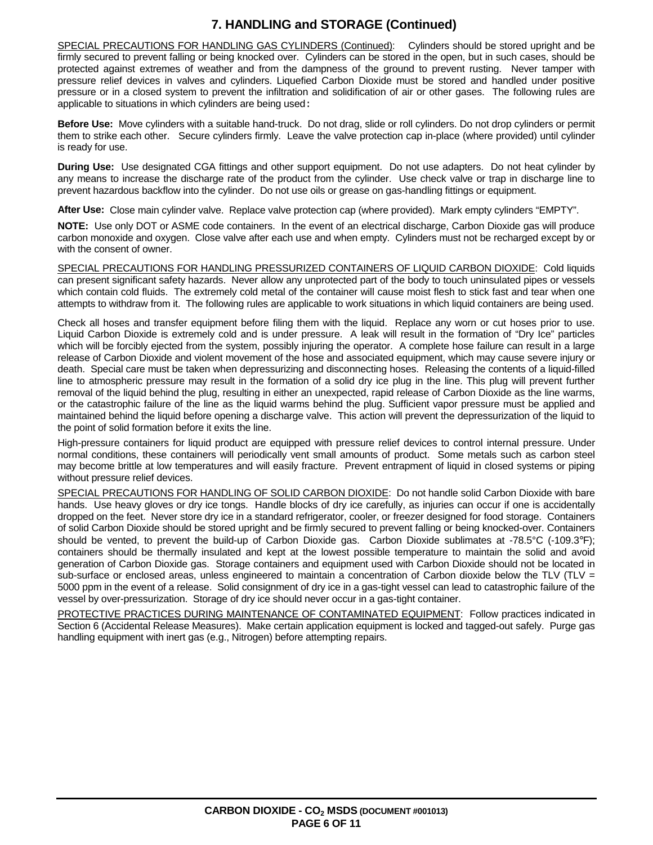### **7. HANDLING and STORAGE (Continued)**

SPECIAL PRECAUTIONS FOR HANDLING GAS CYLINDERS (Continued): Cylinders should be stored upright and be firmly secured to prevent falling or being knocked over. Cylinders can be stored in the open, but in such cases, should be protected against extremes of weather and from the dampness of the ground to prevent rusting. Never tamper with pressure relief devices in valves and cylinders. Liquefied Carbon Dioxide must be stored and handled under positive pressure or in a closed system to prevent the infiltration and solidification of air or other gases. The following rules are applicable to situations in which cylinders are being used:

**Before Use:** Move cylinders with a suitable hand-truck. Do not drag, slide or roll cylinders. Do not drop cylinders or permit them to strike each other. Secure cylinders firmly. Leave the valve protection cap in-place (where provided) until cylinder is ready for use.

**During Use:** Use designated CGA fittings and other support equipment. Do not use adapters. Do not heat cylinder by any means to increase the discharge rate of the product from the cylinder. Use check valve or trap in discharge line to prevent hazardous backflow into the cylinder. Do not use oils or grease on gas-handling fittings or equipment.

**After Use:** Close main cylinder valve. Replace valve protection cap (where provided). Mark empty cylinders "EMPTY".

**NOTE:** Use only DOT or ASME code containers. In the event of an electrical discharge, Carbon Dioxide gas will produce carbon monoxide and oxygen. Close valve after each use and when empty. Cylinders must not be recharged except by or with the consent of owner.

SPECIAL PRECAUTIONS FOR HANDLING PRESSURIZED CONTAINERS OF LIQUID CARBON DIOXIDE: Cold liquids can present significant safety hazards. Never allow any unprotected part of the body to touch uninsulated pipes or vessels which contain cold fluids. The extremely cold metal of the container will cause moist flesh to stick fast and tear when one attempts to withdraw from it. The following rules are applicable to work situations in which liquid containers are being used.

Check all hoses and transfer equipment before filing them with the liquid. Replace any worn or cut hoses prior to use. Liquid Carbon Dioxide is extremely cold and is under pressure. A leak will result in the formation of "Dry Ice" particles which will be forcibly ejected from the system, possibly injuring the operator. A complete hose failure can result in a large release of Carbon Dioxide and violent movement of the hose and associated equipment, which may cause severe injury or death. Special care must be taken when depressurizing and disconnecting hoses. Releasing the contents of a liquid-filled line to atmospheric pressure may result in the formation of a solid dry ice plug in the line. This plug will prevent further removal of the liquid behind the plug, resulting in either an unexpected, rapid release of Carbon Dioxide as the line warms, or the catastrophic failure of the line as the liquid warms behind the plug. Sufficient vapor pressure must be applied and maintained behind the liquid before opening a discharge valve. This action will prevent the depressurization of the liquid to the point of solid formation before it exits the line.

High-pressure containers for liquid product are equipped with pressure relief devices to control internal pressure. Under normal conditions, these containers will periodically vent small amounts of product. Some metals such as carbon steel may become brittle at low temperatures and will easily fracture. Prevent entrapment of liquid in closed systems or piping without pressure relief devices.

SPECIAL PRECAUTIONS FOR HANDLING OF SOLID CARBON DIOXIDE: Do not handle solid Carbon Dioxide with bare hands. Use heavy gloves or dry ice tongs. Handle blocks of dry ice carefully, as injuries can occur if one is accidentally dropped on the feet. Never store dry ice in a standard refrigerator, cooler, or freezer designed for food storage. Containers of solid Carbon Dioxide should be stored upright and be firmly secured to prevent falling or being knocked-over. Containers should be vented, to prevent the build-up of Carbon Dioxide gas. Carbon Dioxide sublimates at -78.5°C (-109.3°F); containers should be thermally insulated and kept at the lowest possible temperature to maintain the solid and avoid generation of Carbon Dioxide gas. Storage containers and equipment used with Carbon Dioxide should not be located in sub-surface or enclosed areas, unless engineered to maintain a concentration of Carbon dioxide below the TLV (TLV = 5000 ppm in the event of a release. Solid consignment of dry ice in a gas-tight vessel can lead to catastrophic failure of the vessel by over-pressurization. Storage of dry ice should never occur in a gas-tight container.

PROTECTIVE PRACTICES DURING MAINTENANCE OF CONTAMINATED EQUIPMENT: Follow practices indicated in Section 6 (Accidental Release Measures). Make certain application equipment is locked and tagged-out safely. Purge gas handling equipment with inert gas (e.g., Nitrogen) before attempting repairs.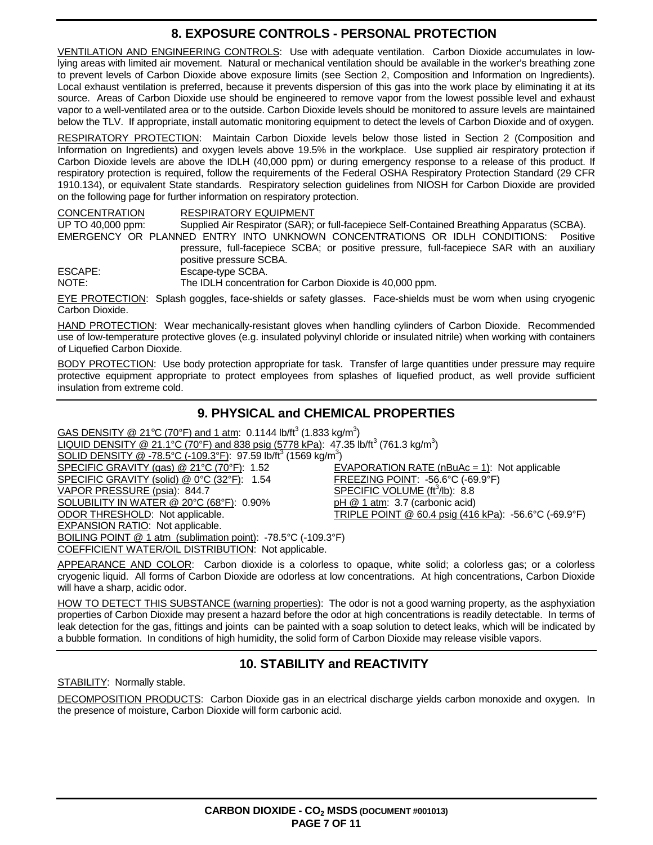### **8. EXPOSURE CONTROLS - PERSONAL PROTECTION**

VENTILATION AND ENGINEERING CONTROLS: Use with adequate ventilation. Carbon Dioxide accumulates in lowlying areas with limited air movement. Natural or mechanical ventilation should be available in the worker's breathing zone to prevent levels of Carbon Dioxide above exposure limits (see Section 2, Composition and Information on Ingredients). Local exhaust ventilation is preferred, because it prevents dispersion of this gas into the work place by eliminating it at its source. Areas of Carbon Dioxide use should be engineered to remove vapor from the lowest possible level and exhaust vapor to a well-ventilated area or to the outside. Carbon Dioxide levels should be monitored to assure levels are maintained below the TLV. If appropriate, install automatic monitoring equipment to detect the levels of Carbon Dioxide and of oxygen.

RESPIRATORY PROTECTION: Maintain Carbon Dioxide levels below those listed in Section 2 (Composition and Information on Ingredients) and oxygen levels above 19.5% in the workplace. Use supplied air respiratory protection if Carbon Dioxide levels are above the IDLH (40,000 ppm) or during emergency response to a release of this product. If respiratory protection is required, follow the requirements of the Federal OSHA Respiratory Protection Standard (29 CFR 1910.134), or equivalent State standards. Respiratory selection guidelines from NIOSH for Carbon Dioxide are provided on the following page for further information on respiratory protection.

CONCENTRATION RESPIRATORY EQUIPMENT UP TO 40,000 ppm: Supplied Air Respirator (SAR); or full-facepiece Self-Contained Breathing Apparatus (SCBA). EMERGENCY OR PLANNED ENTRY INTO UNKNOWN CONCENTRATIONS OR IDLH CONDITIONS: Positive pressure, full-facepiece SCBA; or positive pressure, full-facepiece SAR with an auxiliary positive pressure SCBA. ESCAPE: Escape-type SCBA.

NOTE: The IDLH concentration for Carbon Dioxide is 40,000 ppm.

EYE PROTECTION: Splash goggles, face-shields or safety glasses. Face-shields must be worn when using cryogenic Carbon Dioxide.

HAND PROTECTION: Wear mechanically-resistant gloves when handling cylinders of Carbon Dioxide. Recommended use of low-temperature protective gloves (e.g. insulated polyvinyl chloride or insulated nitrile) when working with containers of Liquefied Carbon Dioxide.

BODY PROTECTION: Use body protection appropriate for task. Transfer of large quantities under pressure may require protective equipment appropriate to protect employees from splashes of liquefied product, as well provide sufficient insulation from extreme cold.

### **9. PHYSICAL and CHEMICAL PROPERTIES**

 $\overline{\textsf{GAS DENSITY}}\textcolor{red}{@21^{\circ}\textsf{C}}$  (70°F) and 1 atm: 0.1144 lb/ft $^3$  (1.833 kg/m $^3)$ LIQUID DENSITY @ 21.1°C (70°F) and 838 psig (5778 kPa): 47.35 lb/ft<sup>3</sup> (761.3 kg/m<sup>3</sup>)

SOLID DENSITY @ -78.5°C (-109.3°F): 97.59 lb/ft<sup>3</sup> (1569 kg/m<sup>3</sup>)

SPECIFIC GRAVITY (gas) @ 21°C (70°F): 1.52 EVAPORATION RATE (nBuAc = 1): Not applicable SPECIFIC GRAVITY (solid) @ 0°C (32°F): 1.54 FREEZING POINT: -56.6°C (-69.9°F) VAPOR PRESSURE (psia): 844.7 SPECIFIC VOLUME (ft<sup>3</sup>/lb): 8.8 SOLUBILITY IN WATER  $@20^{\circ}\text{C}$  (68°F): 0.90% pH  $@1$  atm: 3.7 (carbonic acid) ODOR THRESHOLD: Not applicable. TRIPLE POINT @ 60.4 psig (416 kPa): -56.6°C (-69.9°F) EXPANSION RATIO: Not applicable. BOILING POINT @ 1 atm (sublimation point): -78.5°C (-109.3°F)

COEFFICIENT WATER/OIL DISTRIBUTION: Not applicable.

APPEARANCE AND COLOR: Carbon dioxide is a colorless to opaque, white solid; a colorless gas; or a colorless cryogenic liquid. All forms of Carbon Dioxide are odorless at low concentrations. At high concentrations, Carbon Dioxide will have a sharp, acidic odor.

HOW TO DETECT THIS SUBSTANCE (warning properties): The odor is not a good warning property, as the asphyxiation properties of Carbon Dioxide may present a hazard before the odor at high concentrations is readily detectable. In terms of leak detection for the gas, fittings and joints can be painted with a soap solution to detect leaks, which will be indicated by a bubble formation. In conditions of high humidity, the solid form of Carbon Dioxide may release visible vapors.

### **10. STABILITY and REACTIVITY**

STABILITY: Normally stable.

DECOMPOSITION PRODUCTS: Carbon Dioxide gas in an electrical discharge yields carbon monoxide and oxygen. In the presence of moisture, Carbon Dioxide will form carbonic acid.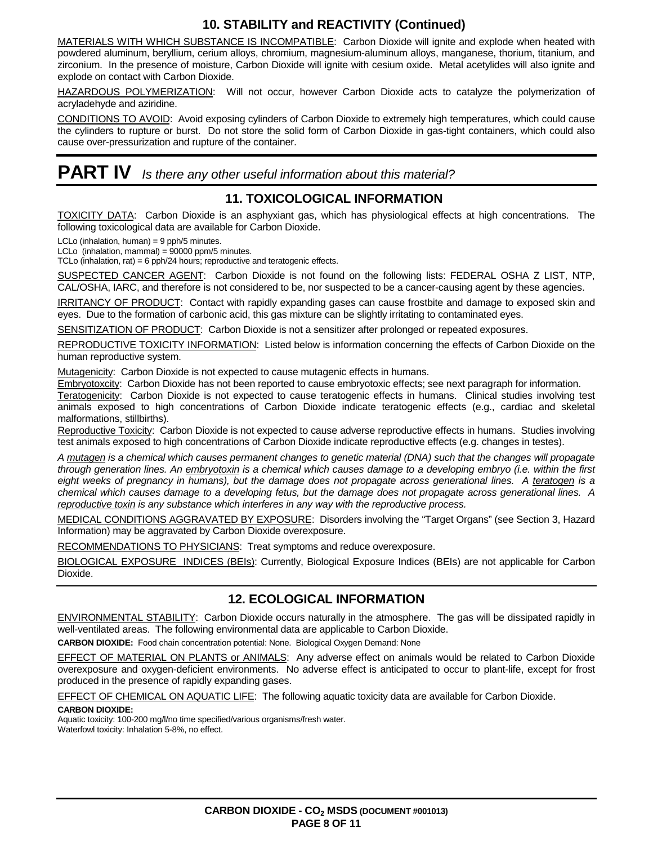### **10. STABILITY and REACTIVITY (Continued)**

MATERIALS WITH WHICH SUBSTANCE IS INCOMPATIBLE: Carbon Dioxide will ignite and explode when heated with powdered aluminum, beryllium, cerium alloys, chromium, magnesium-aluminum alloys, manganese, thorium, titanium, and zirconium. In the presence of moisture, Carbon Dioxide will ignite with cesium oxide. Metal acetylides will also ignite and explode on contact with Carbon Dioxide.

HAZARDOUS POLYMERIZATION: Will not occur, however Carbon Dioxide acts to catalyze the polymerization of acryladehyde and aziridine.

CONDITIONS TO AVOID: Avoid exposing cylinders of Carbon Dioxide to extremely high temperatures, which could cause the cylinders to rupture or burst. Do not store the solid form of Carbon Dioxide in gas-tight containers, which could also cause over-pressurization and rupture of the container.

# **PART IV** Is there any other useful information about this material?

#### **11. TOXICOLOGICAL INFORMATION**

TOXICITY DATA: Carbon Dioxide is an asphyxiant gas, which has physiological effects at high concentrations. The following toxicological data are available for Carbon Dioxide.

LCLo (inhalation, human) = 9 pph/5 minutes.

LCLo (inhalation, mammal) = 90000 ppm/5 minutes.

TCLo (inhalation, rat) = 6 pph/24 hours; reproductive and teratogenic effects.

SUSPECTED CANCER AGENT: Carbon Dioxide is not found on the following lists: FEDERAL OSHA Z LIST, NTP, CAL/OSHA, IARC, and therefore is not considered to be, nor suspected to be a cancer-causing agent by these agencies.

IRRITANCY OF PRODUCT: Contact with rapidly expanding gases can cause frostbite and damage to exposed skin and eyes. Due to the formation of carbonic acid, this gas mixture can be slightly irritating to contaminated eyes.

SENSITIZATION OF PRODUCT: Carbon Dioxide is not a sensitizer after prolonged or repeated exposures.

REPRODUCTIVE TOXICITY INFORMATION: Listed below is information concerning the effects of Carbon Dioxide on the human reproductive system.

Mutagenicity: Carbon Dioxide is not expected to cause mutagenic effects in humans.

Embryotoxcity: Carbon Dioxide has not been reported to cause embryotoxic effects; see next paragraph for information.

Teratogenicity: Carbon Dioxide is not expected to cause teratogenic effects in humans. Clinical studies involving test animals exposed to high concentrations of Carbon Dioxide indicate teratogenic effects (e.g., cardiac and skeletal malformations, stillbirths).

Reproductive Toxicity: Carbon Dioxide is not expected to cause adverse reproductive effects in humans. Studies involving test animals exposed to high concentrations of Carbon Dioxide indicate reproductive effects (e.g. changes in testes).

A mutagen is a chemical which causes permanent changes to genetic material (DNA) such that the changes will propagate through generation lines. An embryotoxin is a chemical which causes damage to a developing embryo (i.e. within the first eight weeks of pregnancy in humans), but the damage does not propagate across generational lines. A teratogen is a chemical which causes damage to a developing fetus, but the damage does not propagate across generational lines. A reproductive toxin is any substance which interferes in any way with the reproductive process.

MEDICAL CONDITIONS AGGRAVATED BY EXPOSURE: Disorders involving the "Target Organs" (see Section 3, Hazard Information) may be aggravated by Carbon Dioxide overexposure.

RECOMMENDATIONS TO PHYSICIANS: Treat symptoms and reduce overexposure.

BIOLOGICAL EXPOSURE INDICES (BEIs): Currently, Biological Exposure Indices (BEIs) are not applicable for Carbon Dioxide.

### **12. ECOLOGICAL INFORMATION**

ENVIRONMENTAL STABILITY: Carbon Dioxide occurs naturally in the atmosphere. The gas will be dissipated rapidly in well-ventilated areas. The following environmental data are applicable to Carbon Dioxide.

**CARBON DIOXIDE:** Food chain concentration potential: None. Biological Oxygen Demand: None

EFFECT OF MATERIAL ON PLANTS or ANIMALS: Any adverse effect on animals would be related to Carbon Dioxide overexposure and oxygen-deficient environments. No adverse effect is anticipated to occur to plant-life, except for frost produced in the presence of rapidly expanding gases.

EFFECT OF CHEMICAL ON AQUATIC LIFE: The following aquatic toxicity data are available for Carbon Dioxide.

#### **CARBON DIOXIDE:**

Aquatic toxicity: 100-200 mg/l/no time specified/various organisms/fresh water. Waterfowl toxicity: Inhalation 5-8%, no effect.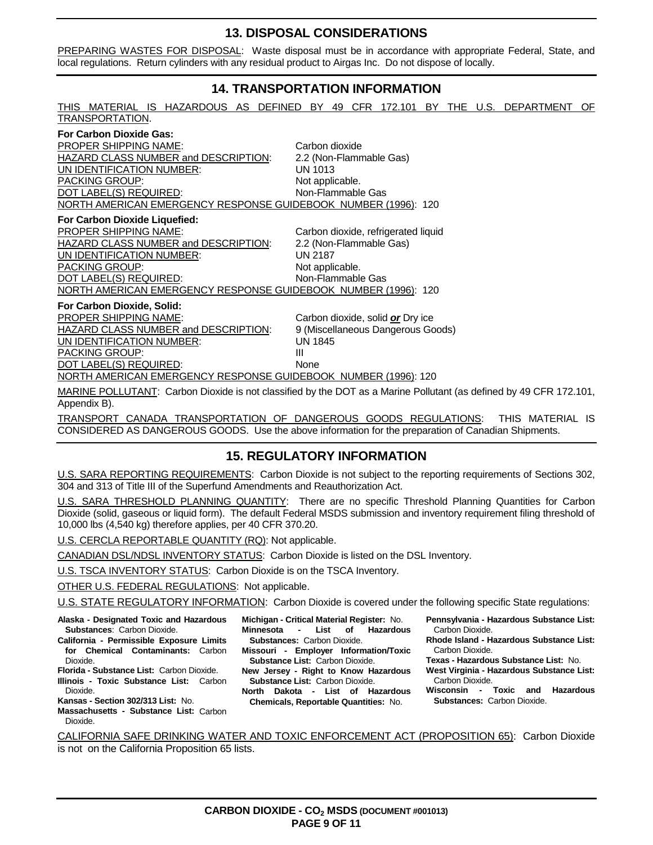#### **13. DISPOSAL CONSIDERATIONS**

PREPARING WASTES FOR DISPOSAL: Waste disposal must be in accordance with appropriate Federal, State, and local regulations. Return cylinders with any residual product to Airgas Inc. Do not dispose of locally.

#### **14. TRANSPORTATION INFORMATION**

| THIS MATERIAL IS HAZARDOUS AS DEFINED BY 49 CFR 172.101 BY THE U.S.<br>TRANSPORTATION.                                             |                                     |  |  | DEPARTMENT | OF |
|------------------------------------------------------------------------------------------------------------------------------------|-------------------------------------|--|--|------------|----|
| <b>For Carbon Dioxide Gas:</b>                                                                                                     |                                     |  |  |            |    |
| <b>PROPER SHIPPING NAME:</b>                                                                                                       | Carbon dioxide                      |  |  |            |    |
| HAZARD CLASS NUMBER and DESCRIPTION:                                                                                               | 2.2 (Non-Flammable Gas)             |  |  |            |    |
| UN IDENTIFICATION NUMBER:                                                                                                          | UN 1013                             |  |  |            |    |
| <b>PACKING GROUP:</b>                                                                                                              | Not applicable.                     |  |  |            |    |
| DOT LABEL(S) REQUIRED:                                                                                                             | Non-Flammable Gas                   |  |  |            |    |
| NORTH AMERICAN EMERGENCY RESPONSE GUIDEBOOK NUMBER (1996): 120                                                                     |                                     |  |  |            |    |
| For Carbon Dioxide Liquefied:                                                                                                      |                                     |  |  |            |    |
| PROPER SHIPPING NAME:                                                                                                              | Carbon dioxide, refrigerated liquid |  |  |            |    |
| HAZARD CLASS NUMBER and DESCRIPTION:                                                                                               | 2.2 (Non-Flammable Gas)             |  |  |            |    |
| UN IDENTIFICATION NUMBER:                                                                                                          | <b>UN 2187</b>                      |  |  |            |    |
| PACKING GROUP:                                                                                                                     | Not applicable.                     |  |  |            |    |
| DOT LABEL(S) REQUIRED:                                                                                                             | Non-Flammable Gas                   |  |  |            |    |
| NORTH AMERICAN EMERGENCY RESPONSE GUIDEBOOK NUMBER (1996): 120                                                                     |                                     |  |  |            |    |
| For Carbon Dioxide, Solid:                                                                                                         |                                     |  |  |            |    |
| PROPER SHIPPING NAME:                                                                                                              | Carbon dioxide, solid or Dry ice    |  |  |            |    |
| HAZARD CLASS NUMBER and DESCRIPTION:                                                                                               | 9 (Miscellaneous Dangerous Goods)   |  |  |            |    |
| UN IDENTIFICATION NUMBER:                                                                                                          | <b>UN 1845</b>                      |  |  |            |    |
| <b>PACKING GROUP:</b>                                                                                                              | Ш                                   |  |  |            |    |
| DOT LABEL(S) REQUIRED:                                                                                                             | <b>None</b>                         |  |  |            |    |
| NORTH AMERICAN EMERGENCY RESPONSE GUIDEBOOK NUMBER (1996): 120                                                                     |                                     |  |  |            |    |
| MARINE POLLUTANT: Carbon Dioxide is not classified by the DOT as a Marine Pollutant (as defined by 49 CFR 172.101,<br>Appendix B). |                                     |  |  |            |    |

TRANSPORT CANADA TRANSPORTATION OF DANGEROUS GOODS REGULATIONS: THIS MATERIAL IS CONSIDERED AS DANGEROUS GOODS. Use the above information for the preparation of Canadian Shipments.

#### **15. REGULATORY INFORMATION**

U.S. SARA REPORTING REQUIREMENTS: Carbon Dioxide is not subject to the reporting requirements of Sections 302, 304 and 313 of Title III of the Superfund Amendments and Reauthorization Act.

U.S. SARA THRESHOLD PLANNING QUANTITY: There are no specific Threshold Planning Quantities for Carbon Dioxide (solid, gaseous or liquid form). The default Federal MSDS submission and inventory requirement filing threshold of 10,000 lbs (4,540 kg) therefore applies, per 40 CFR 370.20.

U.S. CERCLA REPORTABLE QUANTITY (RQ): Not applicable.

CANADIAN DSL/NDSL INVENTORY STATUS: Carbon Dioxide is listed on the DSL Inventory.

U.S. TSCA INVENTORY STATUS: Carbon Dioxide is on the TSCA Inventory.

OTHER U.S. FEDERAL REGULATIONS: Not applicable.

U.S. STATE REGULATORY INFORMATION: Carbon Dioxide is covered under the following specific State regulations:

**Alaska - Designated Toxic and Hazardous Substances**: Carbon Dioxide.

- **California Permissible Exposure Limits for Chemical Contaminants:** Carbon Dioxide.
- **Florida Substance List:** Carbon Dioxide.
- **Illinois Toxic Substance List:** Carbon Dioxide.
- **Kansas Section 302/313 List:** No.
- **Massachusetts Substance List:** Carbon Dioxide.
- **Michigan Critical Material Register:** No. **Minnesota - List of Hazardous Substances:** Carbon Dioxide. **Missouri - Employer Information/Toxic**
- **Substance List:** Carbon Dioxide. **New Jersey - Right to Know Hazardous**
- **Substance List:** Carbon Dioxide. **North Dakota - List of Hazardous**
- **Chemicals, Reportable Quantities:** No.
- **Pennsylvania Hazardous Substance List:** Carbon Dioxide.
- **Rhode Island Hazardous Substance List:** Carbon Dioxide.
- **Texas Hazardous Substance List:** No.
- **West Virginia Hazardous Substance List:** Carbon Dioxide.
- **Wisconsin Toxic and Hazardous Substances:** Carbon Dioxide.

CALIFORNIA SAFE DRINKING WATER AND TOXIC ENFORCEMENT ACT (PROPOSITION 65): Carbon Dioxide is not on the California Proposition 65 lists.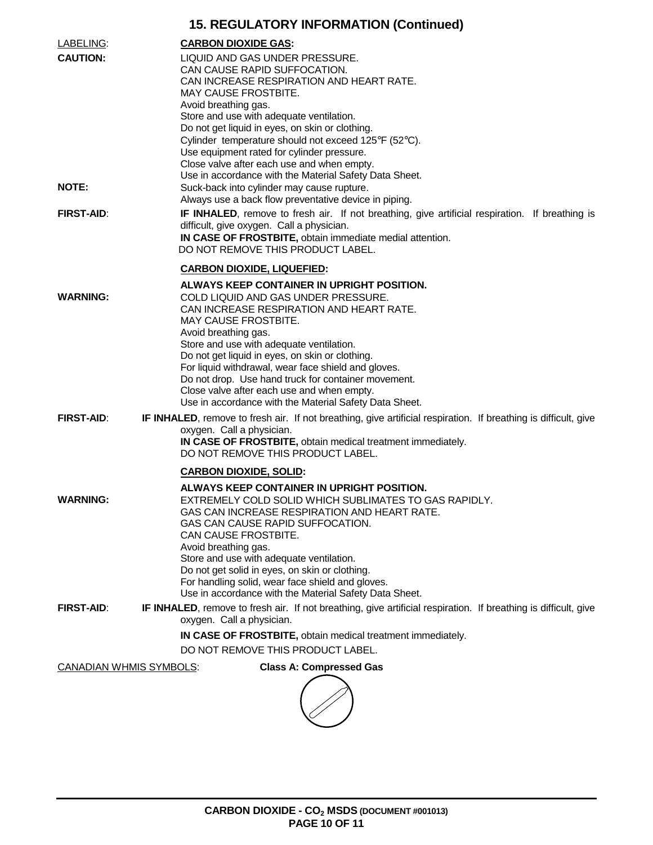# **15. REGULATORY INFORMATION (Continued)**

| LABELING:                      | <b>CARBON DIOXIDE GAS:</b>                                                                                                                                                                                                                                                                                                                                                                                                                                                                         |
|--------------------------------|----------------------------------------------------------------------------------------------------------------------------------------------------------------------------------------------------------------------------------------------------------------------------------------------------------------------------------------------------------------------------------------------------------------------------------------------------------------------------------------------------|
| <b>CAUTION:</b>                | LIQUID AND GAS UNDER PRESSURE.<br>CAN CAUSE RAPID SUFFOCATION.<br>CAN INCREASE RESPIRATION AND HEART RATE.<br>MAY CAUSE FROSTBITE.<br>Avoid breathing gas.<br>Store and use with adequate ventilation.<br>Do not get liquid in eyes, on skin or clothing.<br>Cylinder temperature should not exceed 125°F (52°C).<br>Use equipment rated for cylinder pressure.<br>Close valve after each use and when empty.<br>Use in accordance with the Material Safety Data Sheet.                            |
| <b>NOTE:</b>                   | Suck-back into cylinder may cause rupture.<br>Always use a back flow preventative device in piping.                                                                                                                                                                                                                                                                                                                                                                                                |
| <b>FIRST-AID:</b>              | IF INHALED, remove to fresh air. If not breathing, give artificial respiration. If breathing is<br>difficult, give oxygen. Call a physician.<br>IN CASE OF FROSTBITE, obtain immediate medial attention.<br>DO NOT REMOVE THIS PRODUCT LABEL.                                                                                                                                                                                                                                                      |
|                                | <b>CARBON DIOXIDE, LIQUEFIED:</b>                                                                                                                                                                                                                                                                                                                                                                                                                                                                  |
| <b>WARNING:</b>                | ALWAYS KEEP CONTAINER IN UPRIGHT POSITION.<br>COLD LIQUID AND GAS UNDER PRESSURE.<br>CAN INCREASE RESPIRATION AND HEART RATE.<br>MAY CAUSE FROSTBITE.<br>Avoid breathing gas.<br>Store and use with adequate ventilation.<br>Do not get liquid in eyes, on skin or clothing.<br>For liquid withdrawal, wear face shield and gloves.<br>Do not drop. Use hand truck for container movement.<br>Close valve after each use and when empty.<br>Use in accordance with the Material Safety Data Sheet. |
| <b>FIRST-AID:</b>              | IF INHALED, remove to fresh air. If not breathing, give artificial respiration. If breathing is difficult, give<br>oxygen. Call a physician.<br>IN CASE OF FROSTBITE, obtain medical treatment immediately.<br>DO NOT REMOVE THIS PRODUCT LABEL.                                                                                                                                                                                                                                                   |
|                                | <b>CARBON DIOXIDE, SOLID:</b>                                                                                                                                                                                                                                                                                                                                                                                                                                                                      |
| <b>WARNING:</b>                | ALWAYS KEEP CONTAINER IN UPRIGHT POSITION.<br>EXTREMELY COLD SOLID WHICH SUBLIMATES TO GAS RAPIDLY.<br>GAS CAN INCREASE RESPIRATION AND HEART RATE<br>GAS CAN CAUSE RAPID SUFFOCATION.<br>CAN CAUSE FROSTBITE.<br>Avoid breathing gas.<br>Store and use with adequate ventilation.<br>Do not get solid in eyes, on skin or clothing.<br>For handling solid, wear face shield and gloves.<br>Use in accordance with the Material Safety Data Sheet.                                                 |
| <b>FIRST-AID:</b>              | IF INHALED, remove to fresh air. If not breathing, give artificial respiration. If breathing is difficult, give                                                                                                                                                                                                                                                                                                                                                                                    |
|                                | oxygen. Call a physician.                                                                                                                                                                                                                                                                                                                                                                                                                                                                          |
|                                | IN CASE OF FROSTBITE, obtain medical treatment immediately.<br>DO NOT REMOVE THIS PRODUCT LABEL.                                                                                                                                                                                                                                                                                                                                                                                                   |
| <b>CANADIAN WHMIS SYMBOLS:</b> | <b>Class A: Compressed Gas</b>                                                                                                                                                                                                                                                                                                                                                                                                                                                                     |